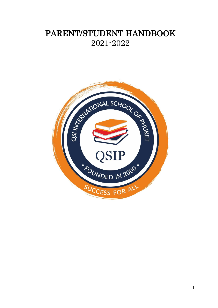# PARENT/STUDENT HANDBOOK 2021-2022

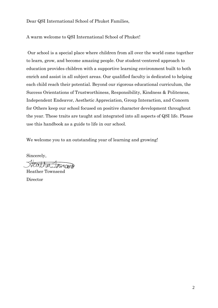Dear QSI International School of Phuket Families,

A warm welcome to QSI International School of Phuket!

Our school is a special place where children from all over the world come together to learn, grow, and become amazing people. Our student-centered approach to education provides children with a supportive learning environment built to both enrich and assist in all subject areas. Our qualified faculty is dedicated to helping each child reach their potential. Beyond our rigorous educational curriculum, the Success Orientations of Trustworthiness, Responsibility, Kindness & Politeness, Independent Endeavor, Aesthetic Appreciation, Group Interaction, and Concern for Others keep our school focused on positive character development throughout the year. These traits are taught and integrated into all aspects of QSI life. Please use this handbook as a guide to life in our school.

We welcome you to an outstanding year of learning and growing!

Sincerely,

Heather Townsend Director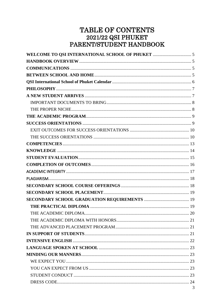# TABLE OF CONTENTS  $2021/22$  QSI PHUKET PARENT/STUDENT HANDBOOK

| $\overline{\mathbf{c}}$ |
|-------------------------|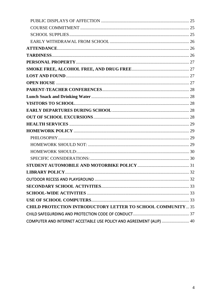| <b>CHILD PROTECTION INTRODUCTORY LETTER TO SCHOOL COMMUNITY 35</b> |  |
|--------------------------------------------------------------------|--|
|                                                                    |  |
| COMPUTER AND INTERNET ACCETABLE USE POLICY AND AGREEMENT (AUP)  40 |  |
|                                                                    |  |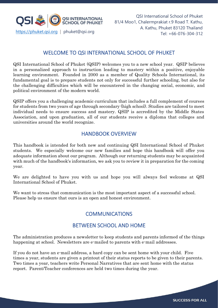

## WELCOME TO QSI INTERNATIONAL SCHOOL OF PHUKET

QSI International School of Phuket (QSIP) welcomes you to a new school year. QSIP believes in a personalized approach to instruction leading to mastery within a positive, enjoyable learning environment. Founded in 2000 as a member of Quality Schools International, its fundamental goal is to prepare students not only for successful further schooling, but also for the challenging difficulties which will be encountered in the changing social, economic, and political environment of the modern world.

QSIP offers you a challenging academic curriculum that includes a full complement of courses for students from two years of age through secondary (high school). Studies are tailored to meet individual needs to ensure success and mastery. QSIP is accredited by the Middle States Association, and upon graduation, all of our students receive a diploma that colleges and universities around the world recognize.

## HANDBOOK OVERVIEW

This handbook is intended for both new and continuing QSI International School of Phuket students. We especially welcome our new families and hope this handbook will offer you adequate information about our program. Although our returning students may be acquainted with much of the handbook's information, we ask you to review it in preparation for the coming year.

We are delighted to have you with us and hope you will always feel welcome at QSI International School of Phuket.

We want to stress that communication is the most important aspect of a successful school. Please help us ensure that ours is an open and honest environment.

## **COMMUNICATIONS**

## BETWEEN SCHOOL AND HOME

The administration produces a newsletter to keep students and parents informed of the things happening at school. Newsletters are e-mailed to parents with e-mail addresses.

If you do not have an e-mail address, a hard copy can be sent home with your child. Five times a year, students are given a printout of their status reports to be given to their parents. Two times a year, teachers write Personal Narratives that are sent home with the status report. Parent/Teacher conferences are held two times during the year.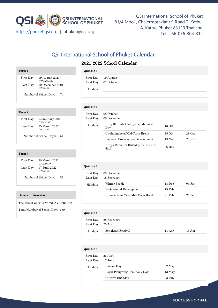

QSI International School of Phuket 81/4 Moo1, Chalermprakiat r.9 Road T. Kathu, A. Kathu, Phuket 83120 Thailand Tel: +66-076-304-312 https://phuket.qsi.org | phuket@qsi.org

## QSI International School of Phuket Calendar

### 2021-2022 School Calendar

| Term 1     |                              |
|------------|------------------------------|
| First Day: | 19 August 2021<br>(THURSDAY) |
| Last Day:  | 10 December 2021<br>(FRIDAY) |

Number of School Days: 74

#### Term 2

| First Day: | 04 January 2022<br>(TUESDAY) |
|------------|------------------------------|
| Last Day:  | 25 March 2022<br>(FRIDAY)    |
|            | Number of School Days:<br>54 |

#### Term 3

| First Day: | 28 March 2022<br>(MONDAY) |
|------------|---------------------------|
| Last Day:  | 17 June 2022<br>(FRIDAY)  |

Number of School Days: 52

#### General Information

The school week is MONDAY - FRIDAY

Total Number of School Days: 180

#### Quintile 1

| __________ |                      |
|------------|----------------------|
|            | First Day: 19 August |
|            | Last Day: 07 October |
| Holidays:  |                      |
|            |                      |

#### Quintile 2

| First Day: | 08 October                                    |          |          |  |
|------------|-----------------------------------------------|----------|----------|--|
| Last Day:  | 08 December                                   |          |          |  |
| Holidays:  | King Bhumibol Adulyadej Memorial<br>Day       | $13$ Oct |          |  |
|            | Chulalongkorn/Mid-Term Break                  | $25$ Oct | $29$ Oct |  |
|            | Regional Professional Development             | $19$ Nov | $20$ Nov |  |
|            | King's Rama 9's Birthday (Substitute)<br>day) | 06 Dec   |          |  |

#### Quintile 3

| , amnunc o              |                                 |          |           |  |
|-------------------------|---------------------------------|----------|-----------|--|
| First Day:<br>Last Day: | 09 December<br>18 February      |          |           |  |
| Holidays:               | Winter Break                    | $13$ Dec | $0.3$ Jan |  |
|                         | Professional Development        | $19$ Feb |           |  |
|                         | Chinese New Year/Mid-Term Break | $21$ Feb | $25$ Feb  |  |
|                         |                                 |          |           |  |

## Quintile 4 First Day: 28 February Last Day: 25 April Holidays: Songkran Festival 11 Apr 15 Apr

| Quintile 5              |                                                                |                                |  |
|-------------------------|----------------------------------------------------------------|--------------------------------|--|
| First Day:<br>Last Day: | 26 April<br>17 June                                            |                                |  |
| Holidays:               | Labour Day<br>Royal Ploughing Ceremony Day<br>Queen's Birthday | $02$ May<br>13 May<br>$03$ Jun |  |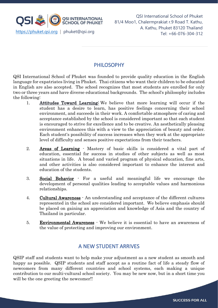

## PHILOSOPHY

QSI International School of Phuket was founded to provide quality education in the English language for expatriates living in Phuket. Thai citizens who want their children to be educated in English are also accepted. The school recognizes that most students are enrolled for only two or three years and have diverse educational backgrounds. The school's philosophy includes the following:

- 1. Attitudes Toward Learning: We believe that more learning will occur if the student has a desire to learn, has positive feelings concerning their school environment, and succeeds in their work. A comfortable atmosphere of caring and acceptance established by the school is considered important so that each student is encouraged to strive for excellence and to be creative. An aesthetically pleasing environment enhances this with a view to the appreciation of beauty and order. Each student's possibility of success increases when they work at the appropriate level of difficulty and senses positive expectations from their teachers.
- 2. Areas of Learning Mastery of basic skills is considered a vital part of education, essential for success in studies of other subjects as well as most situations in life. A broad and varied program of physical education, fine arts, and other activities is also considered important to enhance the interest and education of the students.
- 3. Social Behavior For a useful and meaningful life we encourage the development of personal qualities leading to acceptable values and harmonious relationships.
- 4. Cultural Awareness An understanding and acceptance of the different cultures represented in the school are considered important. We believe emphasis should be placed on gaining an appreciation and knowledge of Asia and the country of Thailand in particular.
- 5. Environmental Awareness We believe it is essential to have an awareness of the value of protecting and improving our environment.

## A NEW STUDENT ARRIVES

QSIP staff and students want to help make your adjustment as a new student as smooth and happy as possible. QSIP students and staff accept as a routine fact of life a steady flow of newcomers from many different countries and school systems, each making a unique contribution to our multi-cultural school society. You may be new now, but in a short time you will be the one greeting the newcomer!!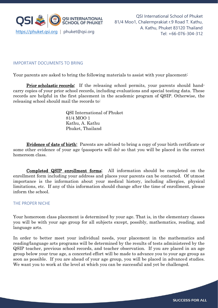

### IMPORTANT DOCUMENTS TO BRING

Your parents are asked to bring the following materials to assist with your placement:

**Prior scholastic records:** If the releasing school permits, your parents should handcarry copies of your prior school records, including evaluations and special testing data. These records are helpful in the first placement in the academic program of QSIP. Otherwise, the releasing school should mail the records to:

> QSI International of Phuket 81/4 MOO 1 Kathu, A. Kathu Phuket, Thailand

 Evidence of date of birth: Parents are advised to bring a copy of your birth certificate or some other evidence of your age (passports will do) so that you will be placed in the correct homeroom class.

 Completed QSIP enrollment forms: All information should be completed on the enrollment form including your address and places your parents can be contacted. Of utmost importance is the information about your medical history, including allergies, physical limitations, etc. If any of this information should change after the time of enrollment, please inform the school.

#### THE PROPER NICHE

Your homeroom class placement is determined by your age. That is, in the elementary classes you will be with your age group for all subjects except, possibly, mathematics, reading, and language arts.

In order to better meet your individual needs, your placement in the mathematics and reading/language arts programs will be determined by the results of tests administered by the QSIP teacher, previous school records, and teacher observation. If you are placed in an age group below your true age, a concerted effort will be made to advance you to your age group as soon as possible. If you are ahead of your age group, you will be placed in advanced studies. We want you to work at the level at which you can be successful and yet be challenged.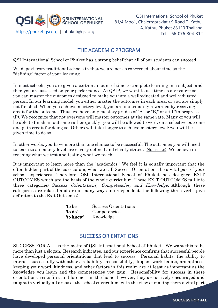

## THE ACADEMIC PROGRAM

QSI International School of Phuket has a strong belief that all of our students can succeed.

We depart from traditional schools in that we are not as concerned about time as the "defining" factor of your learning.

In most schools, you are given a certain amount of time to complete learning in a subject, and then you are assessed on your performance. At QSIP, we want to use time as a resource so you can master the outcomes designed to make you into a well-educated and well-adjusted person. In our learning model, you either master the outcomes in each area, or you are simply not finished. When you achieve mastery level, you are immediately rewarded by receiving credit for the outcome. Thus, we have only mastery grades of "A" or "B," or still "in progress" (P). We recognize that not everyone will master outcomes at the same rate. Many of you will be able to finish an outcome rather quickly--you will be allowed to work on a selective outcome and gain credit for doing so. Others will take longer to achieve mastery level--you will be given time to do so.

In other words, you have more than one chance to be successful. The outcomes you will need to learn to a mastery level are clearly defined and clearly stated. No tricks! We believe in teaching what we test and testing what we teach.

It is important to learn more than the "academics." We feel it is equally important that the often hidden part of the curriculum, what we call Success Orientations, be a vital part of your school experiences. Therefore, QSI International School of Phuket has designed EXIT OUTCOMES which are the basis of the whole curriculum. These EXIT OUTCOMES fall into three categories: Success Orientations, Competencies, and Knowledge. Although these categories are related and are in many ways interdependent, the following three verbs give definition to the Exit Outcomes:

| 'to be'   | Success Orientations |
|-----------|----------------------|
| 'to do'   | Competencies         |
| 'to know' | Knowledge            |

## SUCCESS ORIENTATIONS

SUCCESS FOR ALL is the motto of QSI International School of Phuket. We want this to be more than just a slogan. Research indicates, and our experience confirms that successful people have developed personal orientations that lead to success. Personal habits, the ability to interact successfully with others, reliability, responsibility, diligent work habits, promptness, keeping your word, kindness, and other factors in this realm are at least as important as the knowledge you learn and the competencies you gain. Responsibility for success in these orientations' rests first and foremost in the home; however, they are actively encouraged and taught in virtually all areas of the school curriculum, with the view of making them a vital part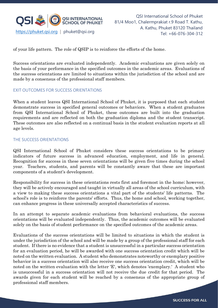

of your life pattern. The role of QSIP is to reinforce the efforts of the home.

Success orientations are evaluated independently. Academic evaluations are given solely on the basis of your performance in the specified outcomes in the academic areas. Evaluations of the success orientations are limited to situations within the jurisdiction of the school and are made by a consensus of the professional staff members.

#### EXIT OUTCOMES FOR SUCCESS ORIENTATIONS

When a student leaves QSI International School of Phuket, it is purposed that each student demonstrate success in specified general outcomes or behaviors. When a student graduates from QSI International School of Phuket, these outcomes are built into the graduation requirements and are reflected on both the graduation diploma and the student transcript. These outcomes are also reflected on a continual basis in the student evaluation reports at all age levels.

#### THE SUCCESS ORIENTATIONS

QSI International School of Phuket considers these success orientations to be primary indicators of future success in advanced education, employment, and life in general. Recognition for success in these seven orientations will be given five times during the school year. Teachers, students, and parents will be constantly aware that these are important components of a student's development.

Responsibility for success in these orientations rests first and foremost in the home; however, they will be actively encouraged and taught in virtually all areas of the school curriculum, with a view to making these success orientations a vital part of the students' life patterns. The school's role is to reinforce the parents' efforts. Thus, the home and school, working together, can enhance progress in these universally accepted characteristics of success.

In an attempt to separate academic evaluations from behavioral evaluations, the success orientations will be evaluated independently. Thus, the academic outcomes will be evaluated solely on the basis of student performance on the specified outcomes of the academic areas.

Evaluations of the success orientations will be limited to situations in which the student is under the jurisdiction of the school and will be made by a group of the professional staff for each student. If there is no evidence that a student is unsuccessful in a particular success orientation for an evaluation period, he will be awarded with one success orientation credit which will be noted on the written evaluation. A student who demonstrates noteworthy or exemplary positive behavior in a success orientation will also receive one success orientation credit, which will be noted on the written evaluation with the letter 'E', which denotes 'exemplary.' A student who is unsuccessful in a success orientation will not receive the due credit for that period. The awards given for each student will be reached by a consensus of the appropriate group of professional staff members.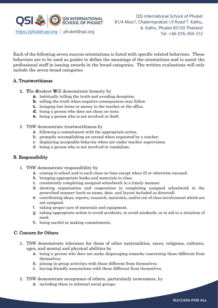

Each of the following seven success orientations is listed with specific related behaviors. These behaviors are to be used as guides to define the meanings of the orientations and to assist the professional staff in issuing awards in the broad categories. The written evaluations will only include the seven broad categories

#### A. Trustworthiness

- **1.** The Student Will demonstrate honesty by
	- **a.** habitually telling the truth and avoiding deception.
	- **b.** telling the truth when negative consequences may follow.
	- **c.** bringing lost items or money to the teacher or the office.
	- **d.** being a person who does not cheat on tests.
	- **e.** being a person who is not involved in theft.
- 2. TSW demonstrate trustworthiness by
	- a. following a commitment with the appropriate action.
	- b. promptly accomplishing an errand when requested by a teacher.
	- c. displaying acceptable behavior when not under teacher supervision.
	- d. being a person who is not involved in vandalism.

### B. Responsibility

- 1. TSW demonstrate responsibility by
	- a. coming to school and to each class on time except when ill or otherwise excused.
	- b. bringing appropriate books and materials to class.
	- c. consistently completing assigned schoolwork in a timely manner.
	- d. showing organization and cooperation in completing assigned schoolwork in the prescribed manner (such as name, date, and layout included as directed).
	- e. contributing ideas, reports, research, materials, and/or out of class involvement which are not assigned.
	- f. taking proper care of materials and equipment.
	- g. taking appropriate action to avoid accidents, to avoid misdeeds, or to aid in a situation of need.
	- h. being careful in making commitments.

#### C. Concern for Others

- 1. TSW demonstrate tolerance for those of other nationalities, races, religions, cultures, ages, and mental and physical abilities by
	- a. being a person who does not make disparaging remarks concerning those different from themselves.
	- b. joining in group activities with those different from themselves.
	- c. having friendly associations with those different from themselves.
- 2. TSW demonstrate acceptance of others, particularly newcomers, by
	- a. including them in informal social groups.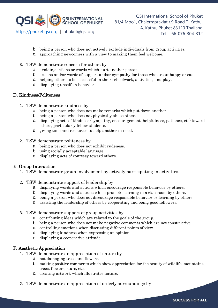

- b. being a person who does not actively exclude individuals from group activities.
- c. approaching newcomers with a view to making them feel welcome.
- 3. TSW demonstrate concern for others by
	- a. avoiding actions or words which hurt another person.
	- b. actions and/or words of support and/or sympathy for those who are unhappy or sad.
	- c. helping others to be successful in their schoolwork, activities, and play.
	- d. displaying unselfish behavior.

#### D. Kindness/Politeness

- 1. TSW demonstrate kindness by
	- a. being a person who does not make remarks which put down another.
	- b. being a person who does not physically abuse others.
	- c. displaying acts of kindness (sympathy, encouragement, helpfulness, patience, etc) toward others, particularly fellow students.
	- d. giving time and resources to help another in need.
- 2. TSW demonstrate politeness by
	- a. being a person who does not exhibit rudeness.
	- b. using socially acceptable language.
	- c. displaying acts of courtesy toward others.

#### E. Group Interaction

- 1. TSW demonstrate group involvement by actively participating in activities.
- 2. TSW demonstrate support of leadership by
	- a. displaying words and actions which encourage responsible behavior by others.
	- b. displaying words and actions which promote learning in a classroom by others.
	- c. being a person who does not discourage responsible behavior or learning by others.
	- d. assisting the leadership of others by cooperating and being good followers.
- 3. TSW demonstrate support of group activities by
	- a. contributing ideas which are related to the goals of the group.
	- b. being a person who does not make negative comments which are not constructive.
	- c. controlling emotions when discussing different points of view.
	- d. displaying kindness when expressing an opinion.
	- e. displaying a cooperative attitude.

#### F. Aesthetic Appreciation

- 1. TSW demonstrate an appreciation of nature by
	- a. not damaging trees and flowers.
	- b. making positive comments which show appreciation for the beauty of wildlife, mountains, trees, flowers, stars, etc.
	- c. creating artwork which illustrates nature.
- 2. TSW demonstrate an appreciation of orderly surroundings by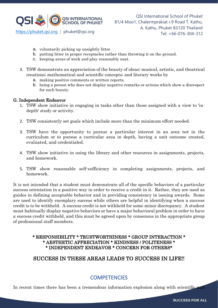

- a. voluntarily picking up unsightly litter.
- b. putting litter in proper receptacles rather than throwing it on the ground.
- c. keeping areas of work and play reasonably neat.
- 3. TSW demonstrate an appreciation of the beauty of ideas; musical, artistic, and theatrical creations; mathematical and scientific concepts; and literary works by
	- a. making positive comments or written reports.
	- b. being a person who does not display negative remarks or actions which show a disrespect for such beauty.

#### G. Independent Endeavor

- 1. TSW show initiative in engaging in tasks other than those assigned with a view to 'indepth' study or activity.
- 2. TSW consistently set goals which include more than the minimum effort needed.
- 3. TSW have the opportunity to pursue a particular interest in an area not in the curriculum or to pursue a curricular area in depth, having a unit outcome created, evaluated, and credentialed.
- 4. TSW show initiative in using the library and other resources in assignments, projects, and homework.
- 5. TSW show reasonable self-sufficiency in completing assignments, projects, and homework.

It is not intended that a student must demonstrate all of the specific behaviors of a particular success orientation in a positive way in order to receive a credit in it. Rather, they are used as guides in defining acceptable behavior and in providing consistency in issuing awards. Some are used to identify exemplary success while others are helpful in identifying when a success credit is to be withheld. A success credit is not withheld for some minor discrepancy. A student must habitually display negative behaviors or have a major behavioral problem in order to have a success credit withheld, and this must be agreed upon by consensus in the appropriate group of professional staff members.

### \* RESPONSIBILITY \* TRUSTWORTHINESS \* GROUP INTERACTION \* \* AESTHETIC APPRECIATION \* KINDNESS / POLITENESS \* \* INDEPENDENT ENDEAVOR \* CONCERN FOR OTHERS\*

## SUCCESS IN THESE AREAS LEADS TO SUCCESS IN LIFE!!

## **COMPETENCIES**

In recent times there has been a tremendous information explosion along with scientific and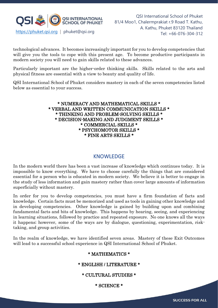

technological advances. It becomes increasingly important for you to develop competencies that will give you the tools to cope with this present age. To become productive participants in modern society you will need to gain skills related to these advances.

Particularly important are the higher-order thinking skills. Skills related to the arts and physical fitness are essential with a view to beauty and quality of life.

QSI International School of Phuket considers mastery in each of the seven competencies listed below as essential to your success.

#### \* NUMERACY AND MATHEMATICAL SKILLS \* \* VERBAL AND WRITTEN COMMUNICATION SKILLS \* \* THINKING AND PROBLEM-SOLVING SKILLS \* \* DECISION-MAKING AND JUDGMENT SKILLS \* \* COMMERCIAL SKILLS \* \* PSYCHOMOTOR SKILLS \* \* FINE ARTS SKILLS \*

## KNOWLEDGE

In the modern world there has been a vast increase of knowledge which continues today. It is impossible to know everything. We have to choose carefully the things that are considered essential for a person who is educated in modern society. We believe it is better to engage in the study of less information and gain mastery rather than cover large amounts of information superficially without mastery.

In order for you to develop competencies, you must have a firm foundation of facts and knowledge. Certain facts must be memorized and used as tools in gaining other knowledge and in developing competencies. Other knowledge is gained by building upon and combining fundamental facts and bits of knowledge. This happens by hearing, seeing, and experiencing in learning situations, followed by practice and repeated exposure. No one knows all the ways it happens; however, some of the ways are by dialogue, questioning, experimentation, risktaking, and group activities.

In the realm of knowledge, we have identified seven areas. Mastery of these Exit Outcomes will lead to a successful school experience in QSI International School of Phuket.

## \* MATHEMATICS \*

## \* ENGLISH / LITERATURE \*

\* CULTURAL STUDIES \*

\* SCIENCE \*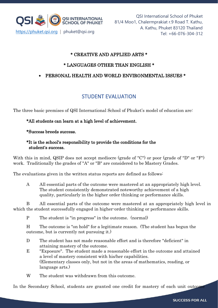

## \* CREATIVE AND APPLIED ARTS \*

## \* LANGUAGES OTHER THAN ENGLISH \*

## • PERSONAL HEALTH AND WORLD ENVIRONMENTAL ISSUES \*

## STUDENT EVALUATION

The three basic premises of QSI International School of Phuket's model of education are:

### \*All students can learn at a high level of achievement.

#### \*Success breeds success.

#### \*It is the school's responsibility to provide the conditions for the student's success.

With this in mind, QSIP does not accept mediocre (grade of "C") or poor (grade of "D" or "F") work. Traditionally the grades of "A" or "B" are considered to be Mastery Grades.

The evaluations given in the written status reports are defined as follows:

A All essential parts of the outcome were mastered at an appropriately high level. The student consistently demonstrated noteworthy achievement of a high quality, particularly in the higher order thinking or performance skills.

B All essential parts of the outcome were mastered at an appropriately high level in which the student successfully engaged in higher-order thinking or performance skills.

P The student is "in progress" in the outcome. (normal)

H The outcome is "on hold" for a legitimate reason. (The student has begun the outcome, but is currently not pursuing it.)

- D The student has not made reasonable effort and is therefore "deficient" in attaining mastery of the outcome.
- E "Exposure". The student made a reasonable effort in the outcome and attained a level of mastery consistent with his/her capabilities. (Elementary classes only, but not in the areas of mathematics, reading, or language arts.)
- W The student was withdrawn from this outcome.

In the Secondary School, students are granted one credit for mastery of each unit outcome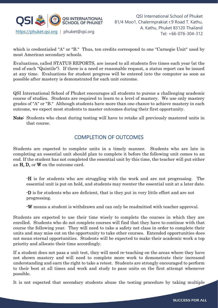

which is credentialed "A" or "B." Thus, ten credits correspond to one "Carnegie Unit" used by most American secondary schools.

Evaluations, called STATUS REPORTS, are issued to all students five times each year (at the end of each "Quintile"). If there is a need or reasonable request, a status report can be issued at any time. Evaluations for student progress will be entered into the computer as soon as possible after mastery is demonstrated for each unit outcome.

QSI International School of Phuket encourages all students to pursue a challenging academic course of studies. Students are required to learn to a level of mastery. We use only mastery grades of "A" or "B." Although students have more than one chance to achieve mastery in each outcome, we expect most students to master outcomes during their first opportunity.

Note: Students who cheat during testing will have to retake all previously mastered units in that course.

## COMPLETION OF OUTCOMES

Students are expected to complete units in a timely manner. Students who are late in completing an essential unit should plan to complete it before the following unit comes to an end. If the student has not completed the essential unit by this time, the teacher will put either an H, D, or W on the outcome card.

-H is for students who are struggling with the work and are not progressing. The essential unit is put on hold, and students may reenter the essential unit at a later date.

-D is for students who are deficient, that is they put in very little effort and are not progressing.

-W means a student is withdrawn and can only be readmitted with teacher approval.

Students are expected to use their time wisely to complete the courses in which they are enrolled. Students who do not complete courses will find that they have to continue with that course the following year. They will need to take a safety net class in order to complete their units and may miss out on the opportunity to take other courses. Extended opportunities does not mean eternal opportunities. Students will be expected to make their academic work a top priority and allocate their time accordingly.

If a student does not pass a unit test, they will need re-teaching on the areas where they have not shown mastery and will need to complete more work to demonstrate their increased understanding and earn the right to take a retest. Students are strongly encouraged to perform to their best at all times and work and study to pass units on the first attempt whenever possible.

It is not expected that secondary students abuse the testing procedure by taking multiple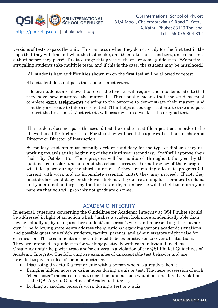

versions of tests to pass the unit. This can occur when they do not study for the first test in the hope that they will find out what the test is like, and then take the second test, and sometimes a third before they pass\*. To discourage this practice there are some guidelines. (\*Sometimes struggling students take multiple tests, and if this is the case, the student may be misplaced.)

-All students having difficulties shown up on the first test will be allowed to retest

-If a student does not pass the student must retest.

- Before students are allowed to retest the teacher will require them to demonstrate that they have now mastered the material. This usually means that the student must complete extra assignments relating to the outcome to demonstrate their mastery and that they are ready to take a second test. (This helps encourage students to take and pass the test the first time.) Most retests will occur within a week of the original test.

-If a student does not pass the second test, he or she must file a petition, in order to be allowed to sit for further tests. For this they will need the approval of their teacher and Director or Director of Instruction.

-Secondary students must formally declare candidacy for the type of diploma they are working towards at the beginning of their third year secondary. Staff will approve their choice by October 15. Their progress will be monitored throughout the year by the guidance counselor, teachers and the school Director. Formal review of their progress will take place during the third quintile. If they are making adequate progress (all current with work and no incomplete essential units), they may proceed. If not, they must declare candidacy for the lower diploma. If you are aiming for a practical diploma and you are not on target by the third quintile, a conference will be held to inform your parents that you will probably not graduate on time.

### ACADEMIC INTEGRITY

In general, questions concerning the Guidelines for Academic Integrity at QSI Phuket should be addressed in light of an action which "makes a student look more academically able than he/she actually is, by using another student's or person's work and representing it as his/her own." The following statements address the questions regarding various academic situations and possible questions which students, faculty, parents, and administrators might raise for clarification. These comments are not intended to be exhaustive or to cover all situations. They are intended as guidelines for working positively with each individual incident. Obtaining unfair help with tests and/or quizzes is a violation of the QSI Phuket Guidelines of Academic Integrity. The following are examples of unacceptable test behavior and are provided to give an idea of common mistakes.

- Discussing (in detail) a test or quiz with a person who has already taken it.
- Bringing hidden notes or using notes during a quiz or test. The mere possession of such "cheat notes" indicates intent to use them and as such would be considered a violation of the QSI Atyrau Guidelines of Academic Integrity.
- Looking at another person's work during a test or a quiz.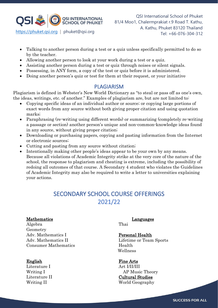

- Talking to another person during a test or a quiz unless specifically permitted to do so by the teacher.
- Allowing another person to look at your work during a test or a quiz.
- Assisting another person during a test or quiz through noises or silent signals.
- Possessing, in ANY form, a copy of the test or quiz before it is administered.
- Doing another person's quiz or test for them at their request, or your initiative

## PLAGIARISM

Plagiarism is defined in Webster's New World Dictionary as "to steal or pass off as one's own, the ideas, writings, etc. of another." Examples of plagiarism are, but are not limited to:

- Copying specific ideas of an individual author or source; or copying large portions of exact words from any source without both giving proper citation and using quotation marks;
- Paraphrasing (re-writing using different words) or summarizing (completely re-writing a passage or section) another person's unique and non-common-knowledge ideas found in any source, without giving proper citation;
- Downloading or purchasing papers, copying and pasting information from the Internet or electronic sources;
- Cutting and pasting from any source without citation;
- Intentionally making other people's ideas appear to be your own by any means. Because all violations of Academic Integrity strike at the very core of the nature of the school, the response to plagiarism and cheating is extreme, including the possibility of redoing all outcomes of that course. A Secondary 4 student who violates the Guidelines of Academic Integrity may also be required to write a letter to universities explaining your actions.

## SECONDARY SCHOOL COURSE OFFERINGS 2021/22

### Mathematics Languages

Algebra Thai Geometry Adv. Mathematics I Personal Health Consumer Mathematics Health

Literature I Art I/II/III

Adv. Mathematics II Lifetime or Team Sports Wellness

### English Fine Arts

Writing I AP Music Theory Literature II Cultural Studies Writing II World Geography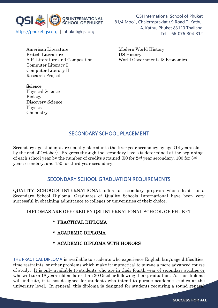

QSI International School of Phuket 81/4 Moo1, Chalermprakiat r.9 Road T. Kathu, A. Kathu, Phuket 83120 Thailand

American Literature Modern World History British Literature US History Computer Literacy I Computer Literacy II Research Project

Science

Biology

Physics Chemistry

Physical Science

Discovery Science

A.P. Literature and Composition World Governments & Economics

## SECONDARY SCHOOL PLACEMENT

Secondary age students are usually placed into the first-year secondary by age (14 years old by the end of October). Progress through the secondary levels is determined at the beginning of each school year by the number of credits attained (50 for  $2<sup>nd</sup>$  year secondary, 100 for  $3<sup>rd</sup>$ year secondary, and 150 for third year secondary.

## SECONDARY SCHOOL GRADUATION REQUIREMENTS

QUALITY SCHOOLS INTERNATIONAL offers a secondary program which leads to a Secondary School Diploma. Graduates of Quality Schools International have been very successful in obtaining admittance to colleges or universities of their choice.

## DIPLOMAS ARE OFFERED BY QSI INTERNATIONAL SCHOOL OF PHUKET

- \* PRACTICAL DIPLOMA
- \* ACADEMIC DIPLOMA
- \* ACADEMIC DIPLOMA WITH HONORS

THE PRACTICAL DIPLOMA is available to students who experience English language difficulties, time restraints, or other problems which make it impractical to pursue a more advanced course of study. It is only available to students who are in their fourth year of secondary studies or who will turn 18 years old no later than 30 October following their graduation. As this diploma will indicate, it is not designed for students who intend to pursue academic studies at the university level. In general, this diploma is designed for students requiring a sound general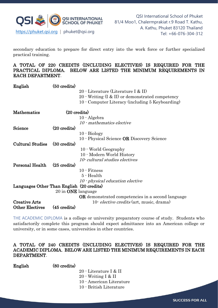

secondary education to prepare for direct entry into the work force or further specialized practical training.

A TOTAL OF 220 CREDITS (INCLUDING ELECTIVES) IS REQUIRED FOR THE PRACTICAL DIPLOMA. BELOW ARE LISTED THE MINIMUM REQUIREMENTS IN EACH DEPARTMENT.

| English                                   | $(50 \text{ credits})$    |                                                          |
|-------------------------------------------|---------------------------|----------------------------------------------------------|
|                                           |                           | 20 - Literature (Literature I & II)                      |
|                                           |                           | $20$ · Writing $(I & I)$ or demonstrated competency      |
|                                           |                           | 10 Computer Literacy (including 5 Keyboarding)           |
|                                           |                           |                                                          |
| <b>Mathematics</b>                        |                           | $(20 \text{ credits})$                                   |
|                                           |                           | $10 - Algebra$                                           |
|                                           |                           | 10 mathematics elective                                  |
| Science                                   | $(20 \text{ credits})$    |                                                          |
|                                           |                           | $10 - Biology$                                           |
|                                           |                           | 10 - Physical Science <b>OR</b> Discovery Science        |
| <b>Cultural Studies</b>                   | $(30 \text{ credits})$    |                                                          |
|                                           |                           | 10 World Geography                                       |
|                                           |                           | 10 - Modern World History                                |
|                                           |                           | 10-cultural studies electives                            |
| Personal Health                           | $(25 \text{ credits})$    |                                                          |
|                                           |                           | 10 · Fitness                                             |
|                                           |                           | 5 - Health                                               |
|                                           |                           | $10$ $\cdot$ physical education elective                 |
| Languages Other Than English (20 credits) |                           |                                                          |
|                                           | 20 in <b>ONE</b> language |                                                          |
|                                           |                           | <b>OR</b> demonstrated competencies in a second language |
| <b>Creative Arts</b>                      |                           | 10- <i>elective credits</i> (art, music, drama)          |
| <b>Other Electives</b>                    | $(45 \text{ credits})$    |                                                          |
|                                           |                           |                                                          |

THE ACADEMIC DIPLOMA is a college or university preparatory course of study. Students who satisfactorily complete this program should expect admittance into an American college or university, or in some cases, universities in other countries.

#### A TOTAL OF 240 CREDITS (INCLUDING ELECTIVES) IS REQUIRED FOR THE ACADEMIC DIPLOMA. BELOW ARE LISTED THE MINIMUM REQUIREMENTS IN EACH DEPARTMENT.

English (80 credits)

- 20 Literature I & II
- 20 Writing I & II
- 10 American Literature
- 10 British Literature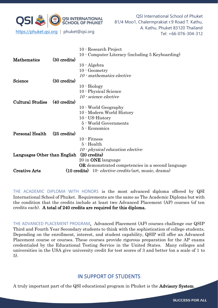

QSI International School of Phuket 81/4 Moo1, Chalermprakiat r.9 Road T. Kathu, A. Kathu, Phuket 83120 Thailand Tel: +66-076-304-312 https://phuket.qsi.org | phuket@qsi.org

|                              |                        | 10 - Research Project                                    |
|------------------------------|------------------------|----------------------------------------------------------|
|                              |                        | 10 Computer Literacy (including 5 Keyboarding)           |
| <b>Mathematics</b>           | $(30 \text{ credits})$ |                                                          |
|                              |                        | $10 - Algebra$                                           |
|                              |                        | 10 Geometry                                              |
|                              |                        | 10 · mathematics elective                                |
| Science                      | $(30 \text{ credits})$ |                                                          |
|                              |                        | $10 - Biology$                                           |
|                              |                        | 10 - Physical Science                                    |
|                              |                        | 10 · science elective                                    |
| <b>Cultural Studies</b>      | $(40 \text{ credits})$ |                                                          |
|                              |                        | 10 World Geography                                       |
|                              |                        | 10 Modern World History                                  |
|                              |                        | $10 - US-History$                                        |
|                              |                        | 5 - World Governments                                    |
|                              |                        | 5 - Economics                                            |
| <b>Personal Health</b>       | $(25 \text{ credits})$ |                                                          |
|                              |                        | $10$ $\cdot$ Fitness                                     |
|                              |                        | 5 - Health                                               |
|                              |                        | 10 · physical education elective                         |
| Languages Other than English |                        | $(20 \text{ credits})$                                   |
|                              |                        | 20 in <b>ONE</b> language                                |
|                              |                        | <b>OR</b> demonstrated competencies in a second language |
| <b>Creative Arts</b>         |                        | (10 credits) 10 elective credits (art, music, drama)     |

THE ACADEMIC DIPLOMA WITH HONORS is the most advanced diploma offered by QSI International School of Phuket. Requirements are the same as The Academic Diploma but with the condition that the credits include at least two Advanced Placement (AP) courses (of ten credits each). A total of 240 credits are required for this diploma.

THE ADVANCED PLACEMENT PROGRAM. Advanced Placement (AP) courses challenge our QSIP Third and Fourth Year Secondary students to think with the sophistication of college students. Depending on the enrollment, interest, and student capability, QSIP will offer an Advanced Placement course or courses. These courses provide rigorous preparation for the AP exams credentialed by the Educational Testing Service in the United States. Many colleges and universities in the USA give university credit for test scores of 3 and better (on a scale of 1 to 5).

## IN SUPPORT OF STUDENTS

A truly important part of the QSI educational program in Phuket is the Advisory System.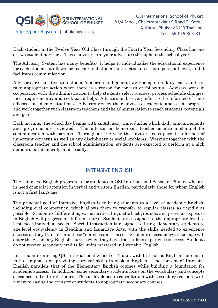

Each student in the Twelve-Year-Old Class through the Fourth Year Secondary Class has one or two student advisors. These advisors are your advocates throughout the school year.

The Advisory System has many benefits: it helps to individualize the educational experience for each student, it allows for teacher and student interaction on a more personal level, and it facilitates communication.

Advisors are sensitive to a student's morale and general well-being on a daily basis and can take appropriate action when there is a reason for concern or follow-up. Advisors work in cooperation with the administration to help students select courses, process schedule changes, meet requirements, and seek extra help. Advisors make every effort to be informed of their advisees' academic situations. Advisors review their advisees' academic and social progress and work together with classroom teachers and the administration to reach students' potentials and goals.

Each morning, the school day begins with an Advisory time, during which daily announcements and programs are reviewed. The advisor or homeroom teacher is also a channel for communication with parents. Throughout the year the advisor keeps parents informed of important concerns as well as any disciplinary or social problems. Working together with the classroom teacher and the school administration, students are expected to perform at a high standard, academically, and socially.

## INTENSIVE ENGLISH

The Intensive English program is for students in QSI International School of Phuket who are in need of special attention in verbal and written English, particularly those for whom English is not a first language.

The principal goal of Intensive English is to bring students to a level of academic English, including oral competency, which allows them to transfer to regular classes as rapidly as possible. Students of different ages, maturities, linguistic backgrounds, and previous exposure to English will progress at different rates. Students are assigned to the appropriate level to best meet individual needs. Special instruction is designed to bring elementary students to age-level equivalency in Reading and Language Arts, with the skills needed to experience success as they transfer into these "mainstream" classes. Students of secondary school age will enter the Secondary English courses when they have the skills to experience success. Students do not receive secondary credits for units mastered in Intensive English.

For students entering QSI International School of Phuket with little or no English there is an initial emphasis on providing survival skills in spoken English. The content of Intensive English parallels that of the Elementary English courses while building a foundation for academic success. In addition, some secondary students focus on the vocabulary and concepts of science and cultural studies. This is developed in consultation with secondary teachers with a view to easing the transfer of students to appropriate secondary courses.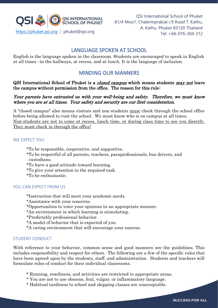

## LANGUAGE SPOKEN AT SCHOOL

English is the language spoken in the classroom. Students are encouraged to speak in English at all times –in the hallways, at recess, and at lunch. It is the language of inclusion.

## MINDING OUR MANNERS

QSI International School of Phuket is a closed campus which means students may not leave the campus without permission from the office. The reason for this rule:

#### Your parents have entrusted us with your well-being and safety. Therefore, we must know where you are at all times. Your safety and security are our first consideration.

A "closed campus" also means visitors and non-students must check through the school office before being allowed to visit the school. We must know who is on campus at all times. Non-students are not to come at recess, lunch time, or during class time to see you directly. They must check in through the office!

#### WE EXPECT YOU

\*To be responsible, cooperative, and supportive.

\*To be respectful of all parents, teachers, paraprofessionals, bus drivers, and custodians.

\*To have a good attitude toward learning.

\*To give your attention to the required task.

\*To be enthusiastic.

#### YOU CAN EXPECT FROM US

\*Instruction that will meet your academic needs.

\*Assistance with your concerns.

\*Opportunities to voice your opinions in an appropriate manner.

\*An environment in which learning is stimulating.

\*Predictably professional behavior.

\*A model of behavior that is expected of you.

\*A caring environment that will encourage your success.

#### STUDENT CONDUCT

With reference to your behavior, common sense and good manners are the guidelines. This includes responsibility and respect for others. The following are a few of the specific rules that have been agreed upon by the students, staff, and administration. Students and teachers will formulate rules of conduct for their individual classrooms.

- \* Running, rowdiness, and activities are restricted to appropriate areas.
- \* You are not to use obscene, foul, vulgar, or inflammatory language.
- \* Habitual tardiness to school and skipping classes are unacceptable.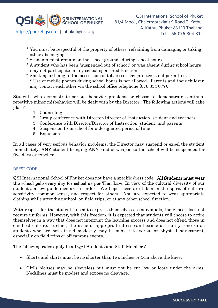

- \* You must be respectful of the property of others, refraining from damaging or taking others' belongings.
- \* Students must remain on the school grounds during school hours.
- \* A student who has been "suspended out of school" or was absent during school hours may not participate in any school-sponsored function.
- \* Smoking or being in the possession of tobacco or e-cigarettes is not permitted.
- \* Use of mobile phones during school hours is not allowed. Parents and their children may contact each other via the school office telephone (076 354 077).

Students who demonstrate serious behavior problems or choose to demonstrate continual repetitive minor misbehavior will be dealt with by the Director. The following actions will take place:

- 1. Counseling
- 2. Group conference with Director/Director of Instruction, student and teachers
- 3. Conference with Director/Director of Instruction, student, and parents
- 4. Suspension from school for a designated period of time
- 5. Expulsion

In all cases of very serious behavior problems, the Director may suspend or expel the student immediately. ANY student bringing ANY kind of weapon to the school will be suspended for five days or expelled.

#### DRESS CODE

QSI International School of Phuket does not have a specific dress code. All Students must wear the school polo every day for school as per Thai Law. In view of the cultural diversity of our students, a few guidelines are in order. We hope these are taken in the spirit of cultural sensitivity, common sense, and respect for others. You are expected to wear appropriate clothing while attending school, on field trips, or at any other school function.

With respect for the students' need to express themselves as individuals, the School does not require uniforms. However, with this freedom, it is expected that students will choose to attire themselves in a way that does not interrupt the learning process and does not offend those in our host culture. Further, the issue of appropriate dress can become a security concern as students who are not attired modestly may be subject to verbal or physical harassment, especially on field trips or off campus events.

The following rules apply to all QSI Students and Staff Members:

- Shorts and skirts must be no shorter than two inches or 5cm above the knee.
- Girl's blouses may be sleeveless but must not be cut low or loose under the arms. Necklines must be modest and expose no cleavage.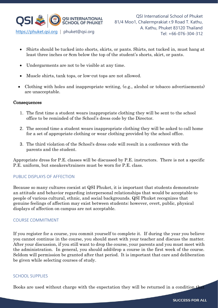

- Shirts should be tucked into shorts, skirts, or pants. Shirts, not tucked in, must hang at least three inches or 8cm below the top of the student's shorts, skirt, or pants.
- Undergarments are not to be visible at any time.
- Muscle shirts, tank tops, or low-cut tops are not allowed.
- Clothing with holes and inappropriate writing, (e.g., alcohol or tobacco advertisements) are unacceptable.

#### **Consequences**

- 1. The first time a student wears inappropriate clothing they will be sent to the school office to be reminded of the School's dress code by the Director.
- 2. The second time a student wears inappropriate clothing they will be asked to call home for a set of appropriate clothing or wear clothing provided by the school office.
- 3. The third violation of the School's dress code will result in a conference with the parents and the student.

Appropriate dress for P.E. classes will be discussed by P.E. instructors. There is not a specific P.E. uniform, but sneakers/trainers must be worn for P.E. class.

### PUBLIC DISPLAYS OF AFFECTION

Because so many cultures coexist at QSI Phuket, it is important that students demonstrate an attitude and behavior regarding interpersonal relationships that would be acceptable to people of various cultural, ethnic, and social backgrounds. QSI Phuket recognizes that genuine feelings of affection may exist between students; however, overt, public, physical displays of affection on campus are not acceptable.

### COURSE COMMITMENT

If you register for a course, you commit yourself to complete it. If during the year you believe you cannot continue in the course, you should meet with your teacher and discuss the matter. After your discussion, if you still want to drop the course, your parents and you must meet with the administration. In general, you should add/drop a course in the first week of the course. Seldom will permission be granted after that period. It is important that care and deliberation be given while selecting courses of study.

#### SCHOOL SUPPLIES

Books are used without charge with the expectation they will be returned in a condition that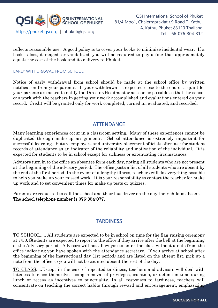

reflects reasonable use. A good policy is to cover your books to minimize incidental wear. If a book is lost, damaged, or vandalized, you will be required to pay a fine that approximately equals the cost of the book and its delivery to Phuket.

#### EARLY WITHDRAWAL FROM SCHOOL

Notice of early withdrawal from school should be made at the school office by written notification from your parents. If your withdrawal is expected close to the end of a quintile, your parents are asked to notify the Director/Headmaster as soon as possible so that the school can work with the teachers in getting your work accomplished and evaluations entered on your record. Credit will be granted only for work completed, turned in, evaluated, and recorded.

## **ATTENDANCE**

Many learning experiences occur in a classroom setting. Many of these experiences cannot be duplicated through make-up assignments. School attendance is extremely important for successful learning. Future employers and university placement officials often ask for student records of attendance as an indicator of the reliability and motivation of the individual. It is expected for students to be in school except for sickness or extenuating circumstances.

Advisors turn in to the office an absentee form each day, noting all students who are not present at the beginning of the advisory period. The office posts a list of all students who are absent by the end of the first period. In the event of a lengthy illness, teachers will do everything possible to help you make up your missed work. It is your responsibility to contact the teacher for make up work and to set convenient times for make up tests or quizzes.

Parents are requested to call the school and their bus driver on the day their child is absent. The school telephone number is 076-354-077.

## **TARDINESS**

TO SCHOOL..... All students are expected to be in school on time for the flag-raising ceremony at 7:50. Students are expected to report to the office if they arrive after the bell at the beginning of the Advisory period. Advisors will not allow you to enter the class without a note from the office indicating you have spoken with the attendance secretary. If you arrive at school after the beginning of the instructional day (1st period) and are listed on the absent list, pick up a note from the office so you will not be counted absent the rest of the day.

TO CLASS.....Except in the case of repeated tardiness, teachers and advisors will deal with lateness to class themselves using removal of privileges, isolation, or detention time during lunch or recess as incentives to punctuality. In all responses to tardiness, teachers will concentrate on teaching the correct habits through reward and encouragement, emphasizing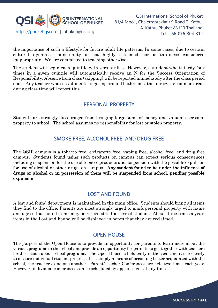

the importance of such a lifestyle for future adult life patterns. In some cases, due to certain cultural dynamics, punctuality is not highly esteemed nor is tardiness considered inappropriate. We are committed to teaching otherwise.

The student will begin each quintile with zero tardies. However, a student who is tardy four times in a given quintile will automatically receive an N for the Success Orientation of Responsibility. Absence from class (skipping) will be reported immediately after the class period ends. Any teacher who sees students lingering around bathrooms, the library, or common areas during class time will report this.

## PERSONAL PROPERTY

Students are strongly discouraged from bringing large sums of money and valuable personal property to school. The school assumes no responsibility for lost or stolen property.

## SMOKE FREE, ALCOHOL FREE, AND DRUG FREE

The QSIP campus is a tobacco free, e-cigarette free, vaping free, alcohol free, and drug free campus. Students found using such products on campus can expect serious consequences including suspension for the use of tobacco products and suspension with the possible expulsion for use of alcohol or other drugs on campus. Any student found to be under the influence of drugs or alcohol or in possession of them will be suspended from school, pending possible expulsion.

## LOST AND FOUND

A lost and found department is maintained in the main office. Students should bring all items they find to the office. Parents are most strongly urged to mark personal property with name and age so that found items may be returned to the correct student. About three times a year, items in the Lost and Found will be displayed in hopes that they are reclaimed.

## OPEN HOUSE

The purpose of the Open House is to provide an opportunity for parents to learn more about the various programs in the school and provide an opportunity for parents to get together with teachers for discussion about school programs. The Open House is held early in the year and it is too early to discuss individual student progress. It is simply a means of becoming better acquainted with the school, the teachers, and one another. Parent/Teacher Conferences are held two times each year. However, individual conferences can be scheduled by appointment at any time.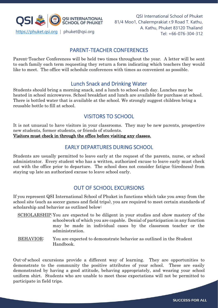

QSI International School of Phuket 81/4 Moo1, Chalermprakiat r.9 Road T. Kathu, A. Kathu, Phuket 83120 Thailand

## PARENT-TEACHER CONFERENCES

Parent-Teacher Conferences will be held two times throughout the year. A letter will be sent to each family each term requesting they return a form indicating which teachers they would like to meet. The office will schedule conferences with times as convenient as possible.

## Lunch Snack and Drinking Water

Students should bring a morning snack, and a lunch to school each day. Lunches may be heated in school microwaves. School breakfast and lunch are available for purchase at school. There is bottled water that is available at the school. We strongly suggest children bring a reusable bottle to fill at school.

## VISITORS TO SCHOOL

It is not unusual to have visitors in your classrooms. They may be new parents, prospective new students, former students, or friends of students.

Visitors must check in through the office before visiting any classes.

## EARLY DEPARTURES DURING SCHOOL

Students are usually permitted to leave early at the request of the parents, nurse, or school administrator. Every student who has a written, authorized excuse to leave early must check out with the office prior to departure. The school does not consider fatigue (tiredness) from staying up late an authorized excuse to leave school early.

## OUT OF SCHOOL EXCURSIONS

If you represent QSI International School of Phuket in functions which take you away from the school site (such as soccer games and field trips), you are required to meet certain standards of scholarship and behavior as outlined below:

- SCHOLARSHIP:You are expected to be diligent in your studies and show mastery of the schoolwork of which you are capable. Denial of participation in any function may be made in individual cases by the classroom teacher or the administration.
- BEHAVIOR: You are expected to demonstrate behavior as outlined in the Student Handbook.

Out-of-school excursions provide a different way of learning. They are opportunities to demonstrate to the community the positive attributes of your school. These are easily demonstrated by having a good attitude, behaving appropriately, and wearing your school uniform shirt. Students who are unable to meet these expectations will not be permitted to participate in field trips.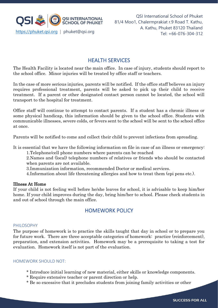

## HEALTH SERVICES

The Health Facility is located near the main office. In case of injury, students should report to the school office. Minor injuries will be treated by office staff or teachers.

In the case of more serious injuries, parents will be notified. If the office staff believes an injury requires professional treatment, parents will be asked to pick up their child to receive treatment. If a parent or other designated contact person cannot be located, the school will transport to the hospital for treatment.

Office staff will continue to attempt to contact parents. If a student has a chronic illness or some physical handicap, this information should be given to the school office. Students with communicable illnesses, severe colds, or fevers sent to the school will be sent to the school office at once.

Parents will be notified to come and collect their child to prevent infections from spreading.

It is essential that we have the following information on file in case of an illness or emergency: 1.Telephone/cell phone numbers where parents can be reached

2.Names and (local) telephone numbers of relatives or friends who should be contacted when parents are not available.

3.Immunization information, recommended Doctor or medical services.

4.Information about life threatening allergies and how to treat them (epi pens etc.).

#### Illness At Home

If your child is not feeling well before he/she leaves for school, it is advisable to keep him/her home. If your child improves during the day, bring him/her to school. Please check students in and out of school through the main office.

## HOMEWORK POLICY

#### PHILOSOPHY

The purpose of homework is to practice the skills taught that day in school or to prepare you for future work. There are three acceptable categories of homework: practice (reinforcement), preparation, and extension activities. Homework may be a prerequisite to taking a test for evaluation. Homework itself is not part of the evaluation.

#### HOMEWORK SHOULD NOT:

- \* Introduce initial learning of new material, either skills or knowledge components.
- \* Require extensive teacher or parent direction or help.
- \* Be so excessive that it precludes students from joining family activities or other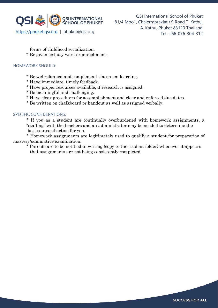

forms of childhood socialization.

\* Be given as busy work or punishment.

#### HOMEWORK SHOULD:

- \* Be well-planned and complement classroom learning.
- \* Have immediate, timely feedback.
- \* Have proper resources available, if research is assigned.
- \* Be meaningful and challenging.
- \* Have clear procedures for accomplishment and clear and enforced due dates.

\* Be written on chalkboard or handout as well as assigned verbally.

#### SPECIFIC CONSIDERATIONS:

\* If you as a student are continually overburdened with homework assignments, a "staffing" with the teachers and an administrator may be needed to determine the best course of action for you.

\* Homework assignments are legitimately used to qualify a student for preparation of mastery/summative examination.

\* Parents are to be notified in writing (copy to the student folder) whenever it appears that assignments are not being consistently completed.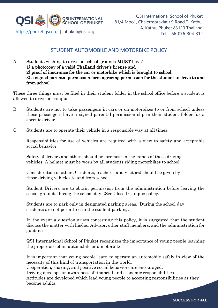

## STUDENT AUTOMOBILE AND MOTORBIKE POLICY

A Students wishing to drive on school grounds **MUST** have: 1) a photocopy of a valid Thailand driver's license and 2) proof of insurance for the car or motorbike which is brought to school, 3) a signed parental permission form agreeing permission for the student to drive to and from school.

These three things must be filed in their student folder in the school office before a student is allowed to drive on campus.

- B Students are not to take passengers in cars or on motorbikes to or from school unless those passengers have a signed parental permission slip in their student folder for a specific driver.
- C. Students are to operate their vehicle in a responsible way at all times.

Responsibilities for use of vehicles are required with a view to safety and acceptable social behavior.

Safety of drivers and others should be foremost in the minds of those driving vehicles. A helmet must be worn by all students riding motorbikes to school.

Consideration of others (students, teachers, and visitors) should be given by those driving vehicles to and from school.

Student Drivers are to obtain permission from the administration before leaving the school grounds during the school day. (See Closed Campus policy)

Students are to park only in designated parking areas. During the school day students are not permitted in the student parking.

In the event a question arises concerning this policy, it is suggested that the student discuss the matter with his/her Advisor, other staff members, and the administration for guidance.

QSI International School of Phuket recognizes the importance of young people learning the proper use of an automobile or a motorbike.

It is important that young people learn to operate an automobile safely in view of the necessity of this kind of transportation in the world.

Cooperation, sharing, and positive social behaviors are encouraged.

Driving develops an awareness of financial and economic responsibilities.

Attitudes are developed which lead young people to accepting responsibilities as they become adults.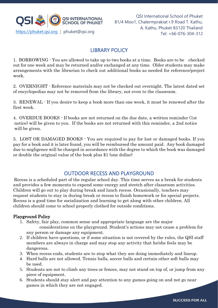

## LIBRARY POLICY

1. BORROWING - You are allowed to take up to two books at a time. Books are to be checked out for one week and may be returned and/or exchanged at any time. Older students may make arrangements with the librarian to check out additional books as needed for reference/project work.

2. OVERNIGHT - Reference materials may not be checked out overnight. The latest dated set of encyclopedias may not be removed from the library, not even to the classroom.

3. RENEWAL - If you desire to keep a book more than one week, it must be renewed after the first week.

4. OVERDUE BOOKS - If books are not returned on the due date, a written reminder (1st notice) will be given to you. If the books are not returned with this reminder, a 2nd notice will be given.

5. LOST OR DAMAGED BOOKS - You are required to pay for lost or damaged books. If you pay for a book and it is later found, you will be reimbursed the amount paid. Any book damaged due to negligence will be charged in accordance with the degree to which the book was damaged or double the original value of the book plus \$1 (one dollar)

## OUTDOOR RECESS AND PLAYGROUND

Recess is a scheduled part of the regular school day. This time serves as a break for students and provides a few moments to expend some energy and stretch after classroom activities. Children will go out to play during break and lunch recess. Occasionally, teachers may request students to stay in during break or recess to finish homework or for special projects. Recess is a good time for socialization and learning to get along with other children. All children should come to school properly clothed for outside conditions.

### Playground Policy

1. Safety, fair play, common sense and appropriate language are the major considerations on the playground. Student's actions may not cause a problem for

any person or damage any equipment.

- 2. If children have questions, or if some situation is not covered by the rules, the QSI staff members are always in charge and may stop any activity that he/she feels may be dangerous.
- 3. When recess ends, students are to stop what they are doing immediately and lineup.
- 4. Hard balls are not allowed. Tennis balls, soccer balls and certain other soft balls may be used.
- 5. Students are not to climb any trees or fences, may not stand on top of, or jump from any piece of equipment.
- 6. Students should stay alert and pay attention to any games going on and not go near games in which they are not engaged.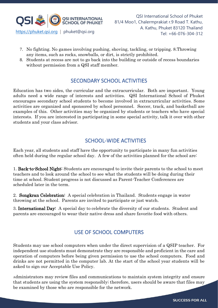

- 7. No fighting. No games involving pushing, shoving, tackling, or tripping. 8.Throwing any items, such as rocks, snowballs, or dirt, is strictly prohibited.
- 8. Students at recess are not to go back into the building or outside of recess boundaries without permission from a QSI staff member.

## SECONDARY SCHOOL ACTIVITIES

Education has two sides, the curricular and the extracurricular. Both are important. Young adults need a wide range of interests and activities. QSI International School of Phuket encourages secondary school students to become involved in extracurricular activities. Some activities are organized and sponsored by school personnel. Soccer, track, and basketball are examples of this. Other activities may be organized by students or teachers who have special interests. If you are interested in participating in some special activity, talk it over with other students and your class advisor.

## SCHOOL-WIDE ACTIVITIES

Each year, all students and staff have the opportunity to participate in many fun activities often held during the regular school day. A few of the activities planned for the school are:

1. Back-to-School Night: Students are encouraged to invite their parents to the school to meet teachers and to look around the school to see what the students will be doing during their time at school. Student progress is not discussed as Parent-Teacher Conferences are scheduled later in the term.

2. Songkran Celebration: A special celebration in Thailand. Students engage in water throwing at the school. Parents are invited to participate or just watch.

3. International Day: A special day to celebrate the diversity of our students. Student and parents are encouraged to wear their native dress and share favorite food with others.

## USE OF SCHOOL COMPUTERS

Students may use school computers when under the direct supervision of a QSIP teacher. For independent use students must demonstrate they are responsible and proficient in the care and operation of computers before being given permission to use the school computers. Food and drinks are not permitted in the computer lab. At the start of the school year students will be asked to sign our Acceptable Use Policy.

Administrators may review files and communications to maintain system integrity and ensure that students are using the system responsibly; therefore, users should be aware that files may be examined by those who are responsible for the network.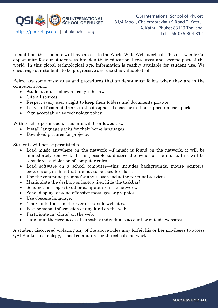

In addition, the students will have access to the World Wide Web at school. This is a wonderful opportunity for our students to broaden their educational resources and become part of the world. In this global technological age, information is readily available for student use. We encourage our students to be progressive and use this valuable tool.

Below are some basic rules and procedures that students must follow when they are in the computer room...

- Students must follow all copyright laws.
- Cite all sources.
- Respect every user's right to keep their folders and documents private.
- Leave all food and drinks in the designated space or in their zipped up back pack.
- Sign acceptable use technology policy

With teacher permission, students will be allowed to...

- Install language packs for their home languages.
- Download pictures for projects.

Students will not be permitted to...

- Load music anywhere on the network –if music is found on the network, it will be immediately removed. If it is possible to discern the owner of the music, this will be considered a violation of computer rules.
- Load software on a school computer—this includes backgrounds, mouse pointers, pictures or graphics that are not to be used for class.
- Use the command prompt for any reason including terminal services.
- Manipulate the desktop or laptop (i.e., hide the taskbar).
- Send net messages to other computers on the network.
- Send, display, or send offensive messages or graphics.
- Use obscene language.
- "hack" into the school server or outside websites.
- Post personal information of any kind on the web.
- Participate in "chats" on the web.
- Gain unauthorized access to another individual's account or outside websites.

A student discovered violating any of the above rules may forfeit his or her privileges to access QSI Phuket technology, school computers, or the school's network.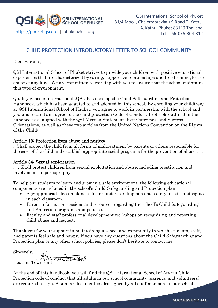

## CHILD PROTECTION INTRODUCTORY LETTER TO SCHOOL COMMUNITY

Dear Parents,

QSI International School of Phuket strives to provide your children with positive educational experiences that are characterized by caring, supportive relationships and free from neglect or abuse of any kind. We are committed to working with you to ensure that the school maintains this type of environment.

Quality Schools International (QSI) has developed a Child Safeguarding and Protection Handbook, which has been adapted to and adopted by this school. By enrolling your child(ren) at QSI International School of Phuket, you agree to work in partnership with the school and you understand and agree to the child protection Code of Conduct. Protocols outlined in the handbook are aligned with the QSI Mission Statement, Exit Outcomes, and Success Orientations, as well as these two articles from the United Nations Convention on the Rights of the Child:

#### Article 19: Protection from abuse and neglect

...Shall protect the child from all forms of maltreatment by parents or others responsible for the care of the child and establish appropriate social programs for the prevention of abuse . . .

#### Article 34: Sexual exploitation

. . . Shall protect children from sexual exploitation and abuse, including prostitution and involvement in pornography.

To help our students to learn and grow in a safe environment, the following educational components are included in the school's Child Safeguarding and Protection plan:

- Age-appropriate lesson plans to foster understanding personal safety, needs, and rights in each classroom.
- Parent information sessions and resources regarding the school's Child Safeguarding and Protection programs and policies.
- Faculty and staff professional development workshops on recognizing and reporting child abuse and neglect.

Thank you for your support in maintaining a school and community in which students, staff, and parents feel safe and happy. If you have any questions about the Child Safeguarding and Protection plan or any other school policies, please don't hesitate to contact me.

Sincerely, Heather Townsend

At the end of this handbook, you will find the QSI International School of Atyrau Child Protection code of conduct that all adults in our school community (parents, and volunteers) are required to sign. A similar document is also signed by all staff members in our school.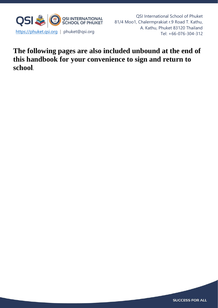

QSI International School of Phuket 81/4 Moo1, Chalermprakiat r.9 Road T. Kathu, A. Kathu, Phuket 83120 Thailand

## **The following pages are also included unbound at the end of this handbook for your convenience to sign and return to school**.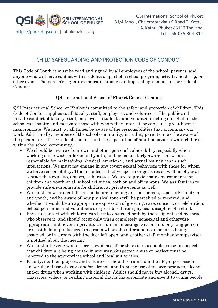

## CHILD SAFEGUARDING AND PROTECTION CODE OF CONDUCT

This Code of Conduct must be read and signed by all employees of the school, parents, and anyone who will have contact with students as part of a school program, activity, field trip, or other event. The person's signature indicates understanding and agreement to the Code of Conduct.

### QSI International School of Phuket Code of Conduct

QSI International School of Phuket is committed to the safety and protection of children. This Code of Conduct applies to all faculty, staff, employees, and volunteers. The public and private conduct of faculty, staff, employees, students, and volunteers acting on behalf of the school can inspire and motivate those with whom they interact, or can cause great harm if inappropriate. We must, at all times, be aware of the responsibilities that accompany our work. Additionally, members of the school community, including parents, must be aware of the parameters of the Code of Conduct and the expectation of adult behavior toward children within the school community.

- We should be aware of our own and other persons' vulnerability, especially when working alone with children and youth, and be particularly aware that we are responsible for maintaining physical, emotional, and sexual boundaries in such interactions. We must not engage in any covert sexual behaviors with those for whom we have responsibility. This includes seductive speech or gestures as well as physical contact that exploits, abuses, or harasses. We are to provide safe environments for children and youth at all school activities, both on and off campus. We ask families to provide safe environments for children at private events as well.
- We must show prudent discretion before touching another person, especially children and youth, and be aware of how physical touch will be perceived or received, and whether it would be an appropriate expression of greeting, care, concern, or celebration. School personnel and volunteers are prohibited from physical discipline of a child.
- Physical contact with children can be misconstrued both by the recipient and by those who observe it, and should occur only when completely nonsexual and otherwise appropriate, and never in private. One-on-one meetings with a child or young person are best held in public area; in a room where the interaction can be (or is being) observed; or in a room with the door left open, and another staff member or supervisor is notified about the meeting.
- We must intervene when there is evidence of, or there is reasonable cause to suspect, that children are being abused in any way. Suspected abuse or neglect must be reported to the appropriate school and local authorities.
- Faculty, staff, employees, and volunteers should refrain from the illegal possession and/or illegal use of drugs and/or alcohol, and from the use of tobacco products, alcohol and/or drugs when working with children. Adults should never buy alcohol, drugs, cigarettes, videos, or reading material that is inappropriate and give it to young people.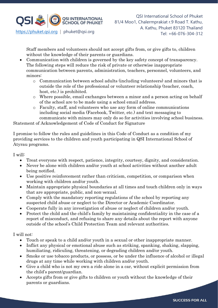

Staff members and volunteers should not accept gifts from, or give gifts to, children without the knowledge of their parents or guardians.

- Communication with children is governed by the key safety concept of transparency. The following steps will reduce the risk of private or otherwise inappropriate communication between parents, administration, teachers, personnel, volunteers, and minors:
	- o Communication between school adults (including volunteers) and minors that is outside the role of the professional or volunteer relationship (teacher, coach, host, etc.) is prohibited.
	- o Where possible, email exchanges between a minor and a person acting on behalf of the school are to be made using a school email address.
	- o Faculty, staff, and volunteers who use any form of online communications including social media (Facebook, Twitter, etc.) and text messaging to communicate with minors may only do so for activities involving school business.

Statement of Acknowledgement of Code of Conduct for Signature

I promise to follow the rules and guidelines in this Code of Conduct as a condition of my providing services to the children and youth participating in QSI International School of Atyrau programs.

I will:

- Treat everyone with respect, patience, integrity, courtesy, dignity, and consideration.
- Never be alone with children and/or youth at school activities without another adult being notified.
- Use positive reinforcement rather than criticism, competition, or comparison when working with children and/or youth.
- Maintain appropriate physical boundaries at all times and touch children only in ways that are appropriate, public, and non-sexual.
- Comply with the mandatory reporting regulations of the school by reporting any suspected child abuse or neglect to the Director or Academic Coordinator.
- Cooperate fully in any investigation of abuse or neglect of children and/or youth.
- Protect the child and the child's family by maintaining confidentiality in the case of a report of misconduct, and refusing to share any details about the report with anyone outside of the school's Child Protection Team and relevant authorities.

I will not:

- Touch or speak to a child and/or youth in a sexual or other inappropriate manner.
- Inflict any physical or emotional abuse such as striking, spanking, shaking, slapping, humiliating, ridiculing, threatening, or degrading children and/or youth.
- Smoke or use tobacco products, or possess, or be under the influence of alcohol or illegal drugs at any time while working with children and/or youth.
- Give a child who is not my own a ride alone in a car, without explicit permission from the child's parent/guardian.
- Accepts gifts from or give gifts to children or youth without the knowledge of their parents or guardians.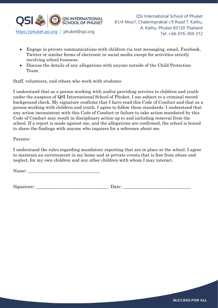

- Engage in private communications with children via text messaging, email, Facebook, Twitter or similar forms of electronic or social media except for activities strictly involving school business.
- Discuss the details of any allegations with anyone outside of the Child Protection Team.

Staff, volunteers, and others who work with students:

I understand that as a person working with and/or providing services to children and youth under the auspices of QSI International School of Phuket, I am subject to a criminal record background check. My signature confirms that I have read this Code of Conduct and that as a person working with children and youth, I agree to follow these standards. I understand that any action inconsistent with this Code of Conduct or failure to take action mandated by this Code of Conduct may result in disciplinary action up to and including removal from the school. If a report is made against me, and the allegations are confirmed, the school is bound to share the findings with anyone who inquires for a reference about me.

#### Parents:

I understand the rules regarding mandatory reporting that are in place at the school. I agree to maintain an environment in my home and at private events that is free from abuse and neglect, for my own children and any other children with whom I may interact.

Name:

Signature: \_\_\_\_\_\_\_\_\_\_\_\_\_\_\_\_\_\_\_\_\_\_\_\_\_\_\_\_\_\_\_\_\_ Date: \_\_\_\_\_\_\_\_\_\_\_\_\_\_\_\_\_\_\_\_\_\_\_\_\_\_\_\_\_\_\_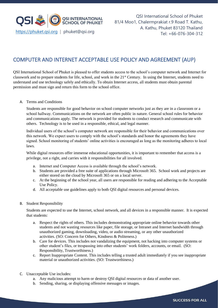

## COMPUTER AND INTERNET ACCEPTABLE USE POLICY AND AGREEMENT (AUP)

QSI International School of Phuket is pleased to offer students access to the school's computer network and Internet for classwork and to prepare students for life, school, and work in the 21st Century. In using the Internet, students need to understand and use technology safely and ethically. To obtain Internet access, all students must obtain parental permission and must sign and return this form to the school office.

#### A. Terms and Conditions

Students are responsible for good behavior on school computer networks just as they are in a classroom or a school hallway. Communications on the network are often public in nature. General school rules for behavior and communications apply. The network is provided for students to conduct research and communicate with others. Technology is to be used in a responsible, ethical, and legal manner.

Individual users of the school's computer network are responsible for their behavior and communications over this network. We expect users to comply with the school's standards and honor the agreements they have signed. School monitoring of students' online activities is encouraged as long as the monitoring adheres to local laws.

While digital resources offer immense educational opportunities, it is important to remember that access is a privilege, not a right, and carries with it responsibilities for all involved.

- a. Internet and Computer Access is available through the school's network.
- b. Students are provided a free suite of applications through Microsoft 365. School work and projects are either stored on the cloud by Microsoft 365 or on a local server.
- c. At the beginning of the school year, all users are responsible for reading and adhering to the Acceptable Use Policy.
- d. All acceptable use guidelines apply to both QSI digital resources and personal devices.
- B. Student Responsibility

Students are expected to use the Internet, school network, and all devices in a responsible manner. It is expected that students:

- a. Respect the rights of others. This includes demonstrating appropriate online behavior towards other students and not wasting resources like paper, file storage, or Intranet and Internet bandwidth through unauthorized gaming, downloading, video, or audio streaming, or any other unauthorized activities. (SO: Concern for Others, Kindness & Politeness.)
- b. Care for devices. This includes not vandalizing the equipment, not hacking into computer systems or other student's files, or trespassing into other students' work folders, accounts, or email. (SO: Responsibility, Trustworthiness.)
- c. Report Inappropriate Content. This includes telling a trusted adult immediately if you see inappropriate material or unauthorized activities. (SO: Trustworthiness.)
- C. Unacceptable Use includes:
	- a. Any malicious attempt to harm or destroy QSI digital resources or data of another user.
	- b. Sending, sharing, or displaying offensive messages or images.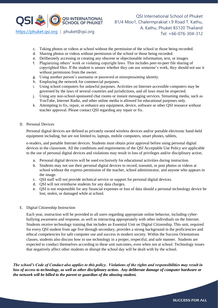

- c. Taking photos or videos at school without the permission of the school or those being recorded.
- d. Sharing photos or videos without permission of the school or those being recorded.
- e. Deliberately accessing or creating any obscene or objectionable information, text, or images.
- f. Plagiarizing others' work or violating copyright laws. This includes peer-to-peer file sharing of copyrighted files. If the student is unsure whether they can use someone's work, they should not use it without permission from the owner.
- g. Using another person's username or password or misrepresenting identity.
- h. Employing the network for commercial purposes.
- i. Using school computers for unlawful purposes. Activities on Internet-accessible computers may be governed by the laws of several countries and jurisdictions, and all laws must be respected.
- j. Using any non-school-sponsored chat rooms or instant messaging services. Streaming media, such as YouTube, Internet Radio, and other online media is allowed for educational purposes only.
- k. Attempting to fix, repair, or enhance any equipment, device, software or other QSI resource without teacher approval. Please contact QSI regarding any repair or fix.
- D. Personal Devices

Personal digital devices are defined as privately owned wireless devices and/or portable electronic hand-held equipment including, but are not limited to, laptops, mobile computers, smart phones, tablets,

e-readers, and portable Internet devices. Students must obtain prior approval before using personal digital devices in the classroom. All the conditions and requirements of the QSI Acceptable Use Policy are applicable to the use of personal digital devices and violations may result in loss of privileges and/or disciplinary action.

- a. Personal digital devices will be used exclusively for educational activities during instruction.
- b. Students may not use their personal digital devices to record, transmit, or post photos or videos at school without the express permission of the teacher, school administrator, and anyone who appears in the image.
- c. QSI staff will not provide technical service or support for personal digital devices.
- d. QSI will not reimburse students for any data charges.
- e. QSI is not responsible for any financial expenses or loss of data should a personal technology device be lost, stolen, or damaged while at school.
- E. Digital Citizenship Instruction

Each year, instruction will be provided to all users regarding appropriate online behavior, including cyberbullying awareness and response, as well as interacting appropriately with other individuals on the Internet. Students receive technology training that includes an Essential Unit on Digital Citizenship. This unit, required for every QSI student from age five through secondary, provides a strong background in the proficiencies and ethical competencies for safe computer use and success in modern society. Within the Success Orientations classes, students also discuss how to use technology in a proper, respectful, and safe manner. Students are expected to conduct themselves according to these unit outcomes, even when not at school. Technology issues that negatively affect other students or disrupt the school day will be dealt with by the school.

*The school's Code of Conduct also applies to this policy. Violations of the rights and responsibilities may result in*  loss of access to technology, as well as other disciplinary action. Any deliberate damage of computer hardware or *the network will be billed to the parent or guardian of the abusing student.*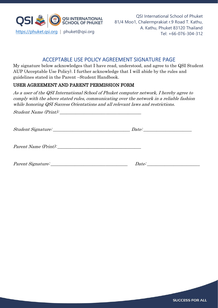

## ACCEPTABLE USE POLICY AGREEMENT SIGNATURE PAGE

My signature below acknowledges that I have read, understood, and agree to the QSI Student AUP (Acceptable Use Policy). I further acknowledge that I will abide by the rules and guidelines stated in the Parent –Student Handbook.

## USER AGREEMENT AND PARENT PERMISSION FORM

As a user of the QSI International School of Phuket computer network, I hereby agree to comply with the above stated rules, communicating over the network in a reliable fashion while honoring QSI Success Orientations and all relevant laws and restrictions.

Student Name (Print): \_\_\_\_\_\_\_\_\_\_\_\_\_\_\_\_\_\_\_\_\_\_\_\_\_\_\_\_\_\_\_\_\_\_\_\_\_

Student Signature:  $\begin{array}{ccc} \hbox{Student Signature:} \end{array}$ 

Parent Name (Print):

Parent Signature: \_\_\_\_\_\_\_\_\_\_\_\_\_\_\_\_\_\_\_\_\_\_\_\_\_\_\_\_\_\_\_\_\_\_\_ Date: \_\_\_\_\_\_\_\_\_\_\_\_\_\_\_\_\_\_\_\_\_\_\_\_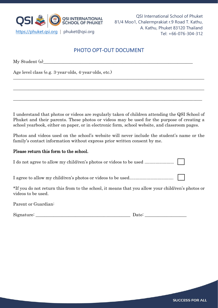

## PHOTO OPT-OUT DOCUMENT

 $\_$  , and the set of the set of the set of the set of the set of the set of the set of the set of the set of the set of the set of the set of the set of the set of the set of the set of the set of the set of the set of th

 $\_$  , and the set of the set of the set of the set of the set of the set of the set of the set of the set of the set of the set of the set of the set of the set of the set of the set of the set of the set of the set of th

 $\_$  , and the set of the set of the set of the set of the set of the set of the set of the set of the set of the set of the set of the set of the set of the set of the set of the set of the set of the set of the set of th

 $Mv$  Student (s)

Age level class (e.g. 3-year-olds, 4-year-olds, etc.)

I understand that photos or videos are regularly taken of children attending the QSI School of Phuket and their parents. These photos or videos may be used for the purpose of creating a school yearbook, either on paper, or in electronic form, school website, and classroom pages.

Photos and videos used on the school's website will never include the student's name or the family's contact information without express prior written consent by me.

#### Please return this form to the school.

I do not agree to allow my child/ren's photos or videos to be used ........................

I agree to allow my child/ren's photos or videos to be used....................................

\*If you do not return this from to the school, it means that you allow your child/ren's photos or videos to be used.

Parent or Guardian:

Signature: \_\_\_\_\_\_\_\_\_\_\_\_\_\_\_\_\_\_\_\_\_\_\_\_\_\_\_\_\_\_\_\_\_\_\_\_\_\_\_\_\_\_\_ Date: \_\_\_\_\_\_\_\_\_\_\_\_\_\_\_\_\_\_\_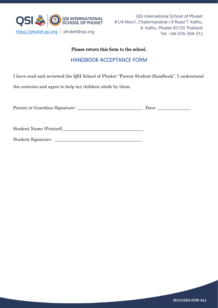

## Please return this form to the school.

## HANDBOOK ACCEPTANCE FORM

I have read and reviewed the QSI School of Phuket "Parent Student Handbook". I understand

the contents and agree to help my children abide by them.

| Parent or Guardian Signature: |  | Date: |  |
|-------------------------------|--|-------|--|
|                               |  |       |  |

Student Name (Printed)

Student Signature: \_\_\_\_\_\_\_\_\_\_\_\_\_\_\_\_\_\_\_\_\_\_\_\_\_\_\_\_\_\_\_\_\_\_\_\_\_\_\_\_